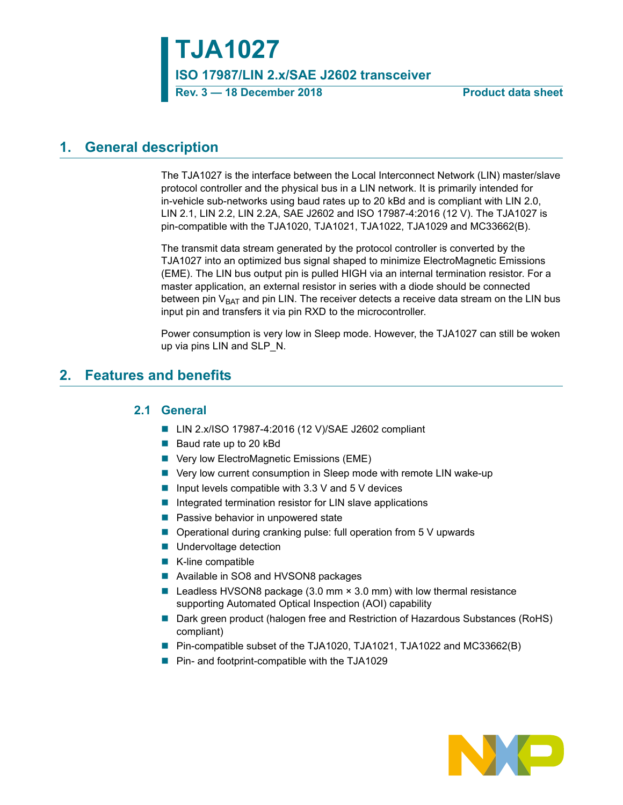# **TJA1027**

**ISO 17987/LIN 2.x/SAE J2602 transceiver**

**Rev. 3 – 18 December 2018** Product data sheet

## <span id="page-0-1"></span>**1. General description**

The TJA1027 is the interface between the Local Interconnect Network (LIN) master/slave protocol controller and the physical bus in a LIN network. It is primarily intended for in-vehicle sub-networks using baud rates up to 20 kBd and is compliant with LIN 2.0, LIN 2.1, LIN 2.2, LIN 2.2A, SAE J2602 and ISO 17987-4:2016 (12 V). The TJA1027 is pin-compatible with the TJA1020, TJA1021, TJA1022, TJA1029 and MC33662(B).

The transmit data stream generated by the protocol controller is converted by the TJA1027 into an optimized bus signal shaped to minimize ElectroMagnetic Emissions (EME). The LIN bus output pin is pulled HIGH via an internal termination resistor. For a master application, an external resistor in series with a diode should be connected between pin  $V_{BAT}$  and pin LIN. The receiver detects a receive data stream on the LIN bus input pin and transfers it via pin RXD to the microcontroller.

Power consumption is very low in Sleep mode. However, the TJA1027 can still be woken up via pins LIN and SLP\_N.

## <span id="page-0-2"></span><span id="page-0-0"></span>**2. Features and benefits**

### **2.1 General**

- LIN 2.x/ISO 17987-4:2016 (12 V)/SAE J2602 compliant
- Baud rate up to 20 kBd
- Very low ElectroMagnetic Emissions (EME)
- Very low current consumption in Sleep mode with remote LIN wake-up
- Input levels compatible with 3.3 V and  $5$  V devices
- $\blacksquare$  Integrated termination resistor for LIN slave applications
- $\blacksquare$  Passive behavior in unpowered state
- Operational during cranking pulse: full operation from 5 V upwards
- **Undervoltage detection**
- $\blacksquare$  K-line compatible
- Available in SO8 and HVSON8 packages
- **Leadless HVSON8 package (3.0 mm**  $\times$  **3.0 mm) with low thermal resistance** supporting Automated Optical Inspection (AOI) capability
- Dark green product (halogen free and Restriction of Hazardous Substances (RoHS) compliant)
- Pin-compatible subset of the TJA1020, TJA1021, TJA1022 and MC33662(B)
- Pin- and footprint-compatible with the TJA1029

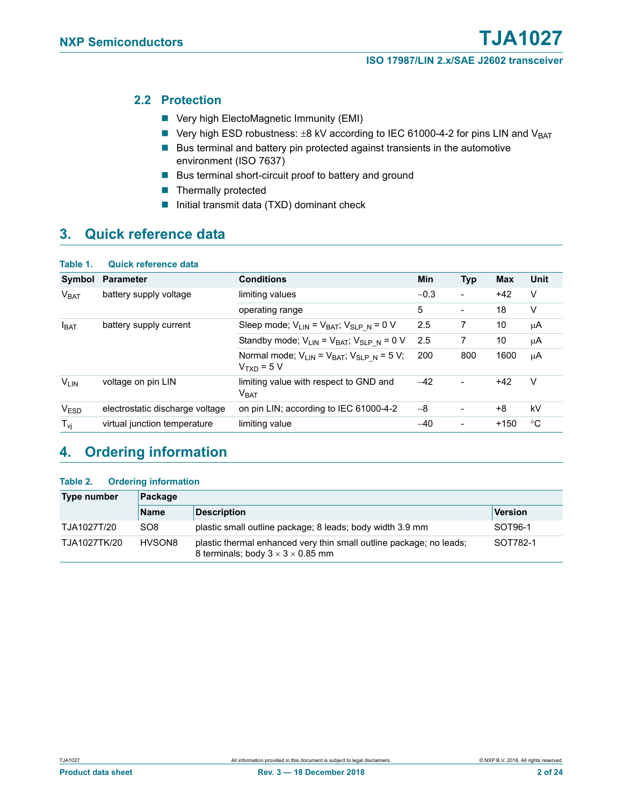### <span id="page-1-0"></span>**2.2 Protection**

- Very high ElectoMagnetic Immunity (EMI)
- Very high ESD robustness:  $±8$  kV according to IEC 61000-4-2 for pins LIN and V<sub>BAT</sub>
- $\blacksquare$  Bus terminal and battery pin protected against transients in the automotive environment (ISO 7637)
- Bus terminal short-circuit proof to battery and ground
- **Thermally protected**
- Initial transmit data  $(TXD)$  dominant check

## <span id="page-1-1"></span>**3. Quick reference data**

| Table 1.               | <b>Quick reference data</b>     |                                                                        |            |                          |            |             |
|------------------------|---------------------------------|------------------------------------------------------------------------|------------|--------------------------|------------|-------------|
| Symbol                 | <b>Parameter</b>                | <b>Conditions</b>                                                      | <b>Min</b> | <b>Typ</b>               | <b>Max</b> | <b>Unit</b> |
| V <sub>BAT</sub>       | battery supply voltage          | limiting values                                                        | $-0.3$     | $\overline{a}$           | $+42$      | V           |
|                        |                                 | operating range                                                        | 5          | $\overline{\phantom{0}}$ | 18         | V           |
| $I_{BAT}$              | battery supply current          | Sleep mode; $V_{LIN} = V_{BAT}$ ; $V_{SLP N} = 0 V$                    | 2.5        | 7                        | 10         | μA          |
|                        |                                 | Standby mode; $V_{LIN} = V_{BAT}$ ; $V_{SLP N} = 0 V$                  | 2.5        | 7                        | 10         | μA          |
|                        |                                 | Normal mode; $V_{LIN} = V_{BAT}$ ; $V_{SLP N} = 5 V$ ;<br>$VTXD = 5 V$ | 200        | 800                      | 1600       | μA          |
| <b>V<sub>LIN</sub></b> | voltage on pin LIN              | limiting value with respect to GND and<br>V <sub>BAT</sub>             | $-42$      | ۰                        | $+42$      | V           |
| <b>VESD</b>            | electrostatic discharge voltage | on pin LIN; according to IEC 61000-4-2                                 | $-8$       | ۰                        | +8         | kV          |
| $T_{\nu i}$            | virtual junction temperature    | limiting value                                                         | $-40$      |                          | $+150$     | °C          |

## <span id="page-1-2"></span>**4. Ordering information**

#### **Table 2. Ordering information**

| Type number  | Package         |                                                                                                                      |          |  |  |  |
|--------------|-----------------|----------------------------------------------------------------------------------------------------------------------|----------|--|--|--|
|              | <b>Name</b>     | <b>Description</b>                                                                                                   | Version  |  |  |  |
| TJA1027T/20  | SO <sub>8</sub> | plastic small outline package; 8 leads; body width 3.9 mm                                                            | SOT96-1  |  |  |  |
| TJA1027TK/20 | HVSON8          | plastic thermal enhanced very thin small outline package; no leads;<br>8 terminals; body $3 \times 3 \times 0.85$ mm | SOT782-1 |  |  |  |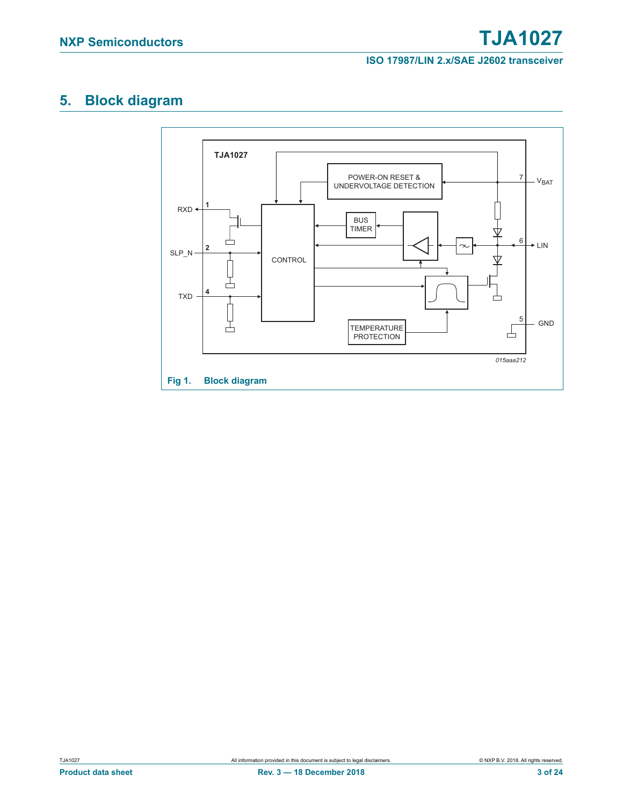## <span id="page-2-0"></span>**5. Block diagram**

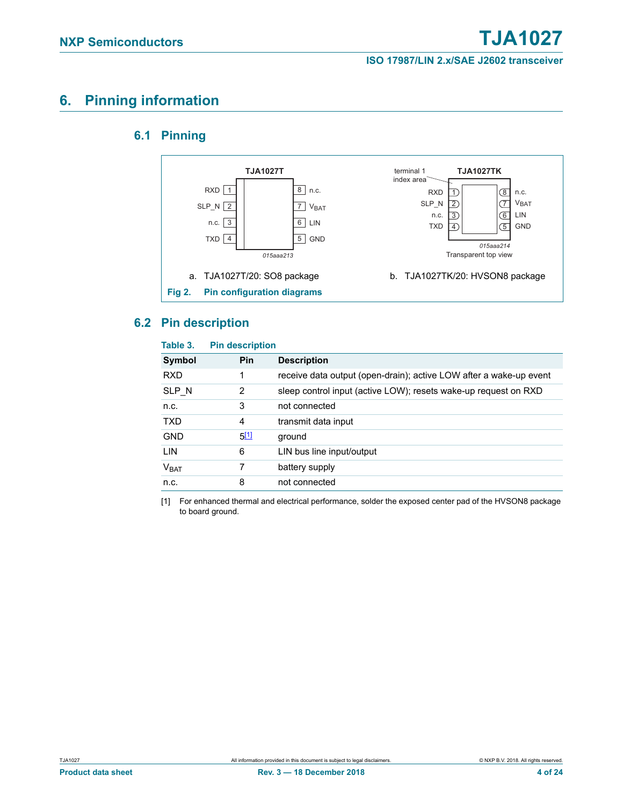## <span id="page-3-2"></span><span id="page-3-1"></span>**6. Pinning information**

### **6.1 Pinning**



### <span id="page-3-3"></span>**6.2 Pin description**

#### **Table 3. Pin description**

| Symbol           | <b>Pin</b> | <b>Description</b>                                                 |
|------------------|------------|--------------------------------------------------------------------|
| <b>RXD</b>       | 1          | receive data output (open-drain); active LOW after a wake-up event |
| SLP N            | 2          | sleep control input (active LOW); resets wake-up request on RXD    |
| n.c.             | 3          | not connected                                                      |
| <b>TXD</b>       | 4          | transmit data input                                                |
| <b>GND</b>       | 5[1]       | ground                                                             |
| <b>LIN</b>       | 6          | LIN bus line input/output                                          |
| V <sub>BAT</sub> |            | battery supply                                                     |
| n.c.             | 8          | not connected                                                      |
|                  |            |                                                                    |

<span id="page-3-0"></span>[1] For enhanced thermal and electrical performance, solder the exposed center pad of the HVSON8 package to board ground.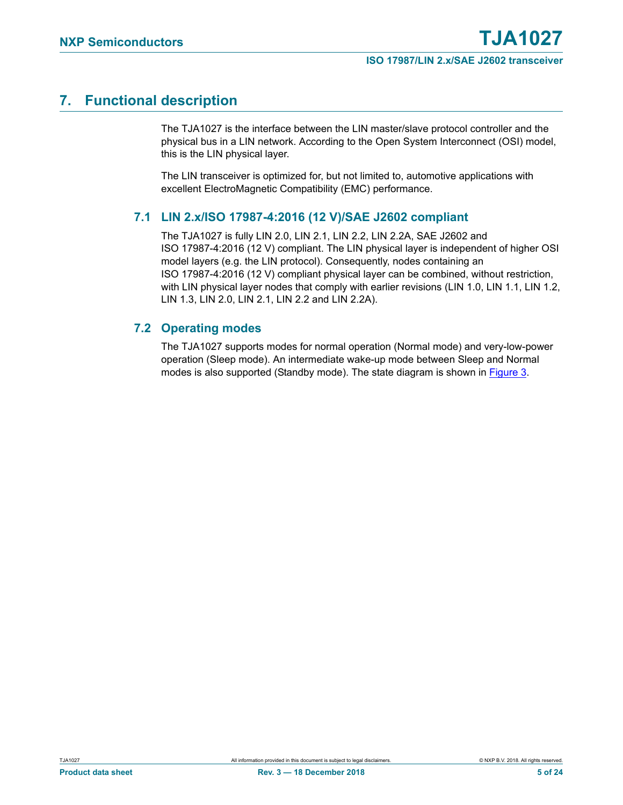## <span id="page-4-0"></span>**7. Functional description**

The TJA1027 is the interface between the LIN master/slave protocol controller and the physical bus in a LIN network. According to the Open System Interconnect (OSI) model, this is the LIN physical layer.

The LIN transceiver is optimized for, but not limited to, automotive applications with excellent ElectroMagnetic Compatibility (EMC) performance.

### <span id="page-4-1"></span>**7.1 LIN 2.x/ISO 17987-4:2016 (12 V)/SAE J2602 compliant**

The TJA1027 is fully LIN 2.0, LIN 2.1, LIN 2.2, LIN 2.2A, SAE J2602 and ISO 17987-4:2016 (12 V) compliant. The LIN physical layer is independent of higher OSI model layers (e.g. the LIN protocol). Consequently, nodes containing an ISO 17987-4:2016 (12 V) compliant physical layer can be combined, without restriction, with LIN physical layer nodes that comply with earlier revisions (LIN 1.0, LIN 1.1, LIN 1.2, LIN 1.3, LIN 2.0, LIN 2.1, LIN 2.2 and LIN 2.2A).

### <span id="page-4-2"></span>**7.2 Operating modes**

The TJA1027 supports modes for normal operation (Normal mode) and very-low-power operation (Sleep mode). An intermediate wake-up mode between Sleep and Normal modes is also supported (Standby mode). The state diagram is shown in [Figure 3.](#page-5-0)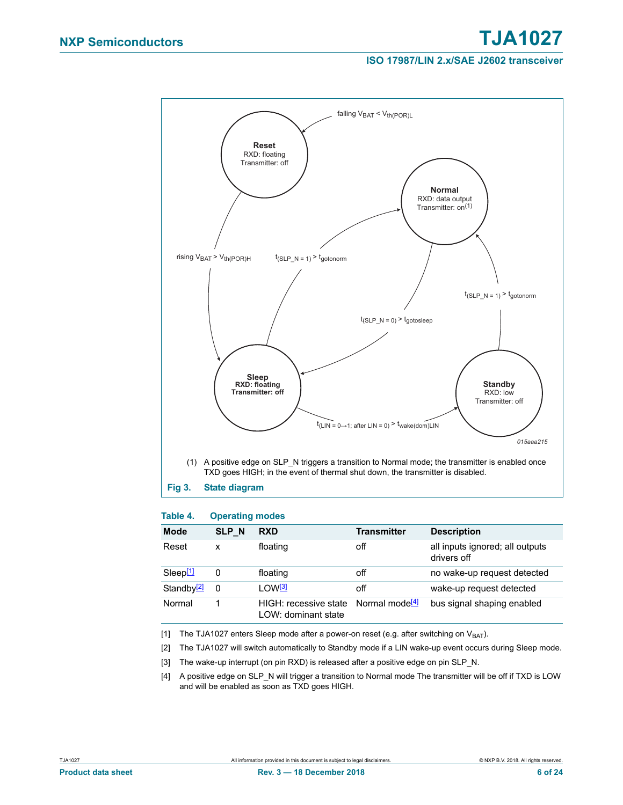

#### <span id="page-5-0"></span>**Table 4. Operating modes**

| <b>Mode</b>            | <b>SLP N</b> | <b>RXD</b>                                   | <b>Transmitter</b>         | <b>Description</b>                             |
|------------------------|--------------|----------------------------------------------|----------------------------|------------------------------------------------|
| Reset                  | x            | floating                                     | off                        | all inputs ignored; all outputs<br>drivers off |
| Sleep <sup>[1]</sup>   | 0            | floating                                     | off                        | no wake-up request detected                    |
| Standby <sup>[2]</sup> | 0            | 1 OW <sup>[3]</sup>                          | off                        | wake-up request detected                       |
| Normal                 |              | HIGH: recessive state<br>LOW: dominant state | Normal mode <sup>[4]</sup> | bus signal shaping enabled                     |

<span id="page-5-1"></span>[1] The TJA1027 enters Sleep mode after a power-on reset (e.g. after switching on  $V_{BAT}$ ).

<span id="page-5-2"></span>[2] The TJA1027 will switch automatically to Standby mode if a LIN wake-up event occurs during Sleep mode.

- <span id="page-5-3"></span>[3] The wake-up interrupt (on pin RXD) is released after a positive edge on pin SLP\_N.
- <span id="page-5-4"></span>[4] A positive edge on SLP\_N will trigger a transition to Normal mode The transmitter will be off if TXD is LOW and will be enabled as soon as TXD goes HIGH.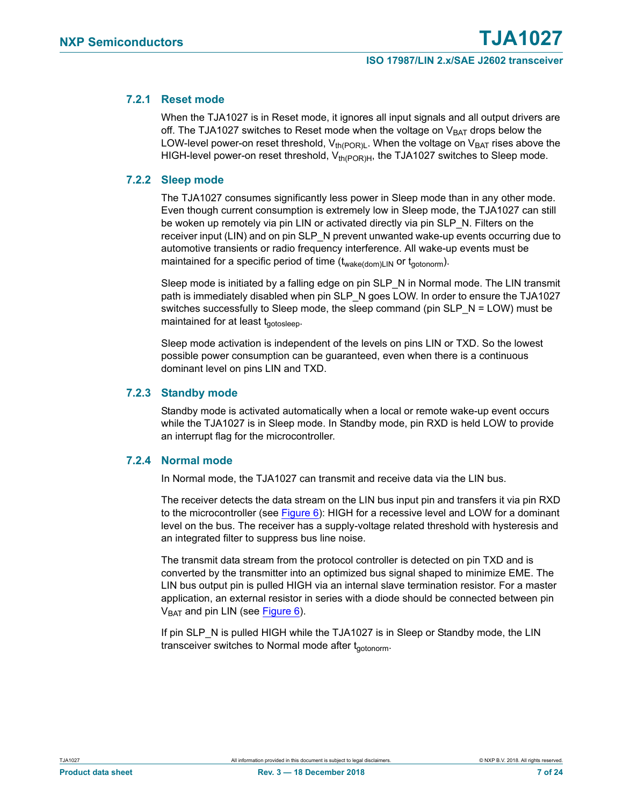### <span id="page-6-0"></span>**7.2.1 Reset mode**

When the TJA1027 is in Reset mode, it ignores all input signals and all output drivers are off. The TJA1027 switches to Reset mode when the voltage on  $V_{BAT}$  drops below the LOW-level power-on reset threshold,  $V_{th(POR)L}$ . When the voltage on  $V_{BAT}$  rises above the HIGH-level power-on reset threshold,  $V_{th(POR)H}$ , the TJA1027 switches to Sleep mode.

#### <span id="page-6-1"></span>**7.2.2 Sleep mode**

The TJA1027 consumes significantly less power in Sleep mode than in any other mode. Even though current consumption is extremely low in Sleep mode, the TJA1027 can still be woken up remotely via pin LIN or activated directly via pin SLP\_N. Filters on the receiver input (LIN) and on pin SLP\_N prevent unwanted wake-up events occurring due to automotive transients or radio frequency interference. All wake-up events must be maintained for a specific period of time  $(t_{\text{wake(dom)LIN}})$  or  $t_{\text{aotonorm}})$ .

Sleep mode is initiated by a falling edge on pin SLP N in Normal mode. The LIN transmit path is immediately disabled when pin SLP\_N goes LOW. In order to ensure the TJA1027 switches successfully to Sleep mode, the sleep command (pin SLP\_N = LOW) must be maintained for at least  $t_{\text{aotoslee}}$ .

Sleep mode activation is independent of the levels on pins LIN or TXD. So the lowest possible power consumption can be guaranteed, even when there is a continuous dominant level on pins LIN and TXD.

#### <span id="page-6-2"></span>**7.2.3 Standby mode**

Standby mode is activated automatically when a local or remote wake-up event occurs while the TJA1027 is in Sleep mode. In Standby mode, pin RXD is held LOW to provide an interrupt flag for the microcontroller.

#### <span id="page-6-3"></span>**7.2.4 Normal mode**

In Normal mode, the TJA1027 can transmit and receive data via the LIN bus.

The receiver detects the data stream on the LIN bus input pin and transfers it via pin RXD to the microcontroller (see [Figure 6](#page-14-0)): HIGH for a recessive level and LOW for a dominant level on the bus. The receiver has a supply-voltage related threshold with hysteresis and an integrated filter to suppress bus line noise.

The transmit data stream from the protocol controller is detected on pin TXD and is converted by the transmitter into an optimized bus signal shaped to minimize EME. The LIN bus output pin is pulled HIGH via an internal slave termination resistor. For a master application, an external resistor in series with a diode should be connected between pin  $V<sub>BAT</sub>$  and pin LIN (see [Figure 6\)](#page-14-0).

If pin SLP\_N is pulled HIGH while the TJA1027 is in Sleep or Standby mode, the LIN transceiver switches to Normal mode after t<sub>actonorm</sub>.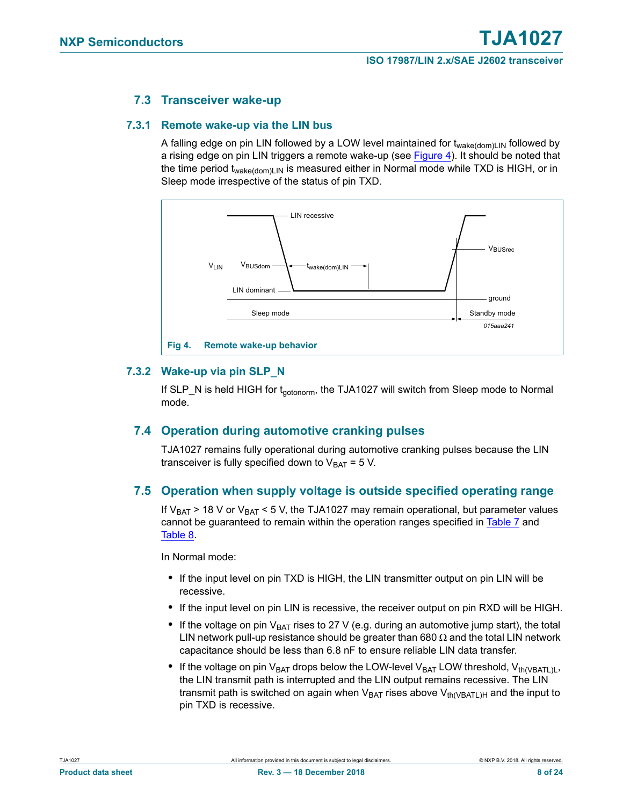### **7.3 Transceiver wake-up**

#### <span id="page-7-2"></span><span id="page-7-1"></span>**7.3.1 Remote wake-up via the LIN bus**

A falling edge on pin LIN followed by a LOW level maintained for  $t_{wake(dom)LM}$  followed by a rising edge on pin LIN triggers a remote wake-up (see [Figure 4\)](#page-7-0). It should be noted that the time period t<sub>wake(dom)LIN</sub> is measured either in Normal mode while TXD is HIGH, or in Sleep mode irrespective of the status of pin TXD.



### <span id="page-7-3"></span><span id="page-7-0"></span>**7.3.2 Wake-up via pin SLP\_N**

If SLP\_N is held HIGH for t<sub>actonorm</sub>, the TJA1027 will switch from Sleep mode to Normal mode.

### <span id="page-7-4"></span>**7.4 Operation during automotive cranking pulses**

TJA1027 remains fully operational during automotive cranking pulses because the LIN transceiver is fully specified down to  $V_{BAT} = 5 V$ .

#### <span id="page-7-5"></span>**7.5 Operation when supply voltage is outside specified operating range**

If  $V_{BAT}$  > 18 V or  $V_{BAT}$  < 5 V, the TJA1027 may remain operational, but parameter values cannot be guaranteed to remain within the operation ranges specified in [Table 7](#page-10-0) and [Table 8.](#page-12-0)

In Normal mode:

- **•** If the input level on pin TXD is HIGH, the LIN transmitter output on pin LIN will be recessive.
- **•** If the input level on pin LIN is recessive, the receiver output on pin RXD will be HIGH.
- If the voltage on pin  $V_{BAT}$  rises to 27 V (e.g. during an automotive jump start), the total LIN network pull-up resistance should be greater than  $680 \Omega$  and the total LIN network capacitance should be less than 6.8 nF to ensure reliable LIN data transfer.
- If the voltage on pin V<sub>BAT</sub> drops below the LOW-level V<sub>BAT</sub> LOW threshold, V<sub>th(VBATL)L</sub>, the LIN transmit path is interrupted and the LIN output remains recessive. The LIN transmit path is switched on again when  $V_{BAT}$  rises above  $V_{th(VBATL)H}$  and the input to pin TXD is recessive.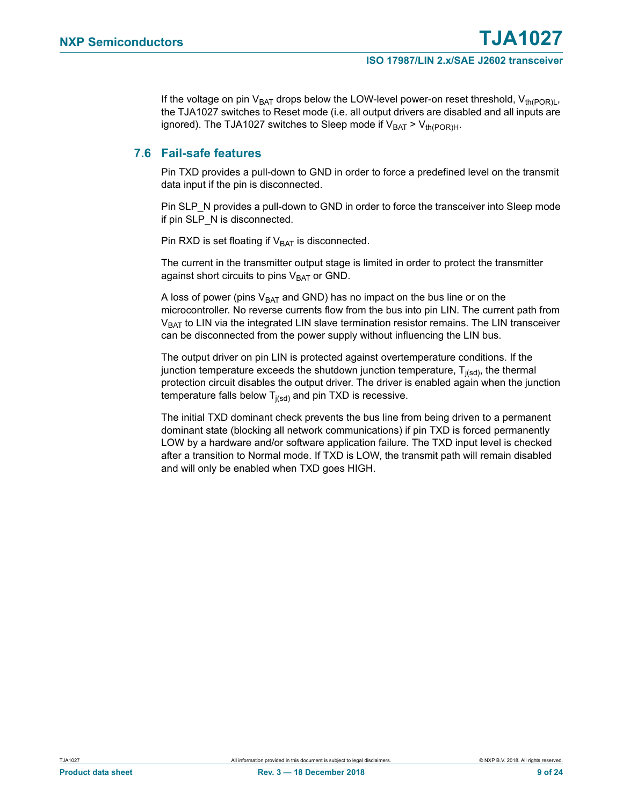If the voltage on pin V<sub>BAT</sub> drops below the LOW-level power-on reset threshold, V<sub>th(POR)L</sub>, the TJA1027 switches to Reset mode (i.e. all output drivers are disabled and all inputs are ignored). The TJA1027 switches to Sleep mode if  $V_{BAT} > V_{th (POR)H}$ .

### <span id="page-8-0"></span>**7.6 Fail-safe features**

Pin TXD provides a pull-down to GND in order to force a predefined level on the transmit data input if the pin is disconnected.

Pin SLP\_N provides a pull-down to GND in order to force the transceiver into Sleep mode if pin SLP\_N is disconnected.

Pin RXD is set floating if  $V_{BAT}$  is disconnected.

The current in the transmitter output stage is limited in order to protect the transmitter against short circuits to pins  $V_{BAT}$  or GND.

A loss of power (pins  $V_{BAT}$  and GND) has no impact on the bus line or on the microcontroller. No reverse currents flow from the bus into pin LIN. The current path from  $V_{BAT}$  to LIN via the integrated LIN slave termination resistor remains. The LIN transceiver can be disconnected from the power supply without influencing the LIN bus.

The output driver on pin LIN is protected against overtemperature conditions. If the junction temperature exceeds the shutdown junction temperature,  $T_{i(\text{sd})}$ , the thermal protection circuit disables the output driver. The driver is enabled again when the junction temperature falls below  $T_{j(sd)}$  and pin TXD is recessive.

The initial TXD dominant check prevents the bus line from being driven to a permanent dominant state (blocking all network communications) if pin TXD is forced permanently LOW by a hardware and/or software application failure. The TXD input level is checked after a transition to Normal mode. If TXD is LOW, the transmit path will remain disabled and will only be enabled when TXD goes HIGH.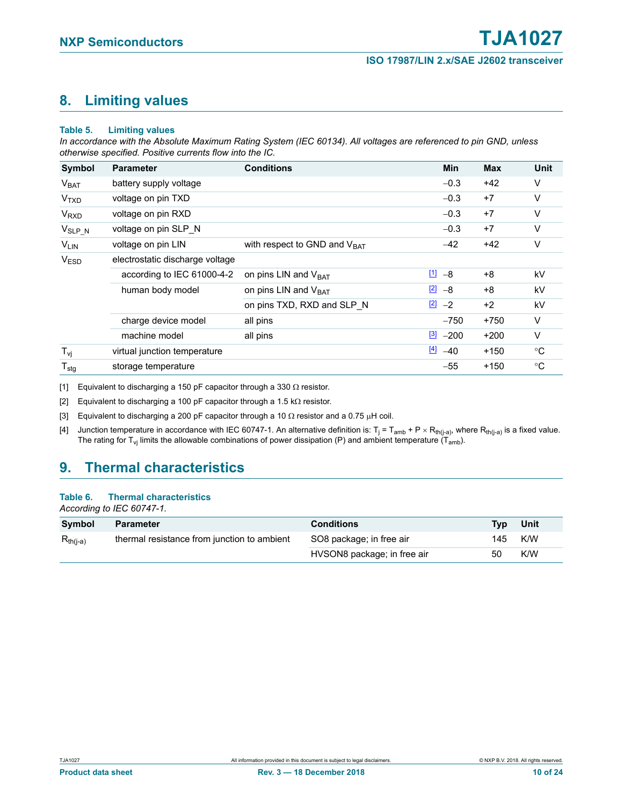## <span id="page-9-4"></span>**8. Limiting values**

#### **Table 5. Limiting values**

*In accordance with the Absolute Maximum Rating System (IEC 60134). All voltages are referenced to pin GND, unless otherwise specified. Positive currents flow into the IC.*

| Symbol                 | <b>Parameter</b>                | <b>Conditions</b>                 | Min                 | <b>Max</b> | Unit        |
|------------------------|---------------------------------|-----------------------------------|---------------------|------------|-------------|
| V <sub>BAT</sub>       | battery supply voltage          |                                   | $-0.3$              | $+42$      | V           |
| <b>V<sub>TXD</sub></b> | voltage on pin TXD              |                                   | $-0.3$              | $+7$       | V           |
| <b>V<sub>RXD</sub></b> | voltage on pin RXD              |                                   | $-0.3$              | $+7$       | V           |
| $V_{SLP_N}$            | voltage on pin SLP N            |                                   | $-0.3$              | $+7$       | V           |
| $V_{LIN}$              | voltage on pin LIN              | with respect to GND and $V_{BAT}$ | $-42$               | $+42$      | V           |
| <b>VESD</b>            | electrostatic discharge voltage |                                   |                     |            |             |
|                        | according to IEC 61000-4-2      | on pins LIN and $V_{BAT}$         | $11 - 8$            | $+8$       | kV          |
|                        | human body model                | on pins LIN and $V_{BAT}$         | $\boxed{2}$ -8      | $+8$       | kV          |
|                        |                                 | on pins TXD, RXD and SLP N        | $\boxed{2}$ -2      | $+2$       | kV          |
|                        | charge device model             | all pins                          | $-750$              | $+750$     | V           |
|                        | machine model                   | all pins                          | $\frac{3}{2}$ -200  | $+200$     | $\vee$      |
| $T_{\mathsf{vi}}$      | virtual junction temperature    |                                   | $\frac{[4]}{2}$ -40 | $+150$     | $^{\circ}C$ |
| $T_{\text{stg}}$       | storage temperature             |                                   | $-55$               | $+150$     | °C          |

<span id="page-9-0"></span>[1] Equivalent to discharging a 150 pF capacitor through a 330  $\Omega$  resistor.

<span id="page-9-1"></span>[2] Equivalent to discharging a 100 pF capacitor through a 1.5 k $\Omega$  resistor.

<span id="page-9-2"></span>[3] Equivalent to discharging a 200 pF capacitor through a 10  $\Omega$  resistor and a 0.75  $\mu$ H coil.

<span id="page-9-3"></span>[4] Junction temperature in accordance with IEC 60747-1. An alternative definition is: T<sub>j</sub> = T<sub>amb</sub> + P × R<sub>th(j-a)</sub>, where R<sub>th(j-a)</sub> is a fixed value. The rating for T<sub>vj</sub> limits the allowable combinations of power dissipation (P) and ambient temperature (T<sub>amb</sub>).

## <span id="page-9-5"></span>**9. Thermal characteristics**

#### **Table 6. Thermal characteristics**

*According to IEC 60747-1.*

| Symbol        | <b>Parameter</b>                            | <b>Conditions</b>           | <b>Typ</b> | Unit |
|---------------|---------------------------------------------|-----------------------------|------------|------|
| $R_{th(i-a)}$ | thermal resistance from junction to ambient | SO8 package; in free air    | 145        | K/W  |
|               |                                             | HVSON8 package; in free air | 50         | K/W  |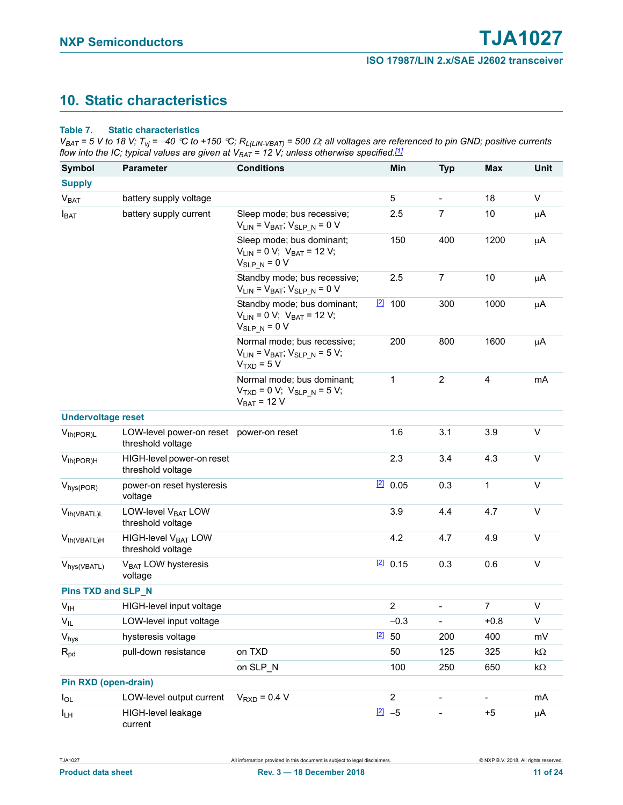## <span id="page-10-1"></span>**10. Static characteristics**

#### <span id="page-10-0"></span>**Table 7. Static characteristics**

 $V_{BAT}$  = 5 V to 18 V; T<sub>Vj</sub> = -40 °C to +150 °C; R<sub>L(LIN-VBAT)</sub> = 500  $\Omega$ ; all voltages are referenced to pin GND; positive currents *flow into the IC; typical values are given at VBAT = 12 V; unless otherwise specified[.\[1\]](#page-11-1)*

| <b>Symbol</b>               | <b>Parameter</b>                                             | <b>Conditions</b>                                                                        | Min                   | <b>Typ</b>               | Max                      | Unit        |
|-----------------------------|--------------------------------------------------------------|------------------------------------------------------------------------------------------|-----------------------|--------------------------|--------------------------|-------------|
| <b>Supply</b>               |                                                              |                                                                                          |                       |                          |                          |             |
| V <sub>BAT</sub>            | battery supply voltage                                       |                                                                                          | 5                     | $\overline{\phantom{a}}$ | 18                       | V           |
| $I_{BAT}$                   | battery supply current                                       | Sleep mode; bus recessive;<br>$V_{LIN} = V_{BAT}$ ; $V_{SLP N} = 0 V$                    | 2.5                   | $\overline{7}$           | 10                       | μA          |
|                             |                                                              | Sleep mode; bus dominant;<br>$V_{LIN} = 0 V$ ; $V_{BAT} = 12 V$ ;<br>$V_{SLP_N} = 0 V$   | 150                   | 400                      | 1200                     | μA          |
|                             |                                                              | Standby mode; bus recessive;<br>$V_{LIN} = V_{BAT}$ ; $V_{SLP N} = 0 V$                  | 2.5                   | $\overline{7}$           | 10                       | μA          |
|                             |                                                              | Standby mode; bus dominant;<br>$V_{LIN} = 0 V$ ; $V_{BAT} = 12 V$ ;<br>$V_{SLP_N} = 0 V$ | $\frac{[2]}{[2]}$ 100 | 300                      | 1000                     | μA          |
|                             |                                                              | Normal mode; bus recessive;<br>$V_{LIN} = V_{BAT}$ ; $V_{SLP N} = 5 V$ ;<br>$VTXD = 5 V$ | 200                   | 800                      | 1600                     | μA          |
|                             |                                                              | Normal mode; bus dominant;<br>$V_{TXD} = 0 V; V_{SLP_N} = 5 V;$<br>$V_{BAT}$ = 12 V      | 1                     | $\overline{2}$           | 4                        | mA          |
| <b>Undervoltage reset</b>   |                                                              |                                                                                          |                       |                          |                          |             |
| $V_{th(POR)L}$              | LOW-level power-on reset power-on reset<br>threshold voltage |                                                                                          | 1.6                   | 3.1                      | 3.9                      | $\mathsf V$ |
| $V_{th(POR)H}$              | HIGH-level power-on reset<br>threshold voltage               |                                                                                          | 2.3                   | 3.4                      | 4.3                      | V           |
| $V_{hys(POR)}$              | power-on reset hysteresis<br>voltage                         |                                                                                          | 120.05                | 0.3                      | $\mathbf{1}$             | $\vee$      |
| $V_{th(VBATL)L}$            | LOW-level V <sub>BAT</sub> LOW<br>threshold voltage          |                                                                                          | 3.9                   | 4.4                      | 4.7                      | V           |
| $V_{th(VBATL)H}$            | HIGH-level V <sub>BAT</sub> LOW<br>threshold voltage         |                                                                                          | 4.2                   | 4.7                      | 4.9                      | $\vee$      |
| V <sub>hys</sub> (VBATL)    | V <sub>BAT</sub> LOW hysteresis<br>voltage                   |                                                                                          | 20.15                 | 0.3                      | 0.6                      | V           |
| <b>Pins TXD and SLP_N</b>   |                                                              |                                                                                          |                       |                          |                          |             |
| V <sub>IH</sub>             | HIGH-level input voltage                                     |                                                                                          | $\overline{2}$        |                          | $\overline{7}$           | V           |
| $V_{IL}$                    | LOW-level input voltage                                      |                                                                                          | $-0.3$                |                          | $+0.8$                   | $\mathsf V$ |
| Vhys                        | hysteresis voltage                                           |                                                                                          | $\boxed{2}$ 50        | 200                      | 400                      | mV          |
| $R_{pd}$                    | pull-down resistance                                         | on TXD                                                                                   | 50                    | 125                      | 325                      | kΩ          |
|                             |                                                              | on SLP_N                                                                                 | 100                   | 250                      | 650                      | k $\Omega$  |
| <b>Pin RXD (open-drain)</b> |                                                              |                                                                                          |                       |                          |                          |             |
| $I_{OL}$                    | LOW-level output current                                     | $VRXD = 0.4 V$                                                                           | $\overline{2}$        |                          | $\overline{\phantom{0}}$ | mA          |
| I <sub>LH</sub>             | HIGH-level leakage<br>current                                |                                                                                          | $\frac{[2]}{2}$ -5    |                          | $+5$                     | μA          |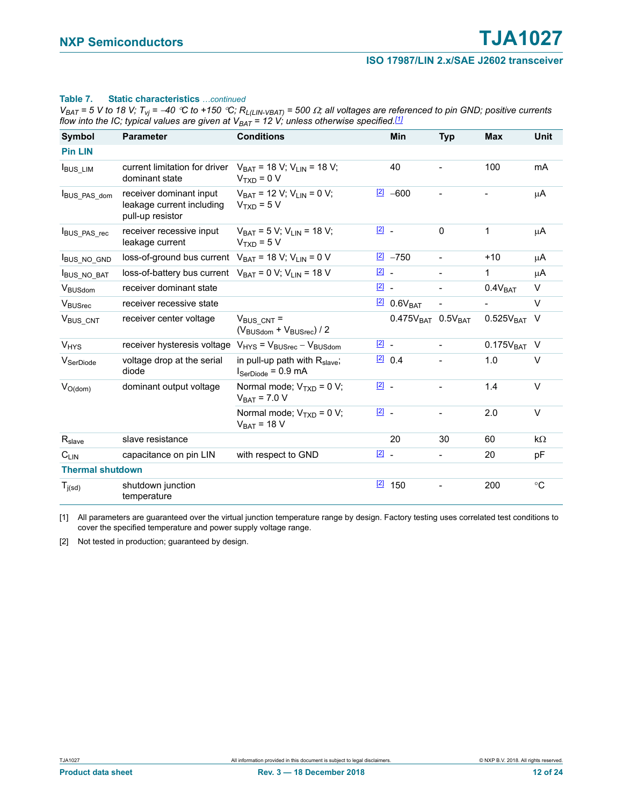#### **Table 7.** Static characteristics continued

 $V_{BAT}$  = 5 V to 18 V;  $T_{vj}$  = -40 °C to +150 °C;  $R_{L(LIN-VBAT)}$  = 500  $\Omega$ ; all voltages are referenced to pin GND; positive currents *flow into the IC; typical values are given at*  $V_{BAT} = 12$  *V; unless otherwise specified.<sup>[1]</sup>* 

| Symbol                  | <b>Parameter</b>                                                         | <b>Conditions</b>                                                                   |                                     | <b>Min</b>              | <b>Typ</b>               | <b>Max</b>              | <b>Unit</b> |
|-------------------------|--------------------------------------------------------------------------|-------------------------------------------------------------------------------------|-------------------------------------|-------------------------|--------------------------|-------------------------|-------------|
| <b>Pin LIN</b>          |                                                                          |                                                                                     |                                     |                         |                          |                         |             |
| <b>BUS_LIM</b>          | current limitation for driver<br>dominant state                          | $V_{BAT}$ = 18 V; V <sub>LIN</sub> = 18 V;<br>$V_{TxD} = 0 V$                       |                                     | 40                      |                          | 100                     | mA          |
| BUS_PAS_dom             | receiver dominant input<br>leakage current including<br>pull-up resistor | $V_{BAT}$ = 12 V; V <sub>LIN</sub> = 0 V;<br>$VTXD = 5 V$                           |                                     | $121 - 600$             |                          |                         | μA          |
| BUS_PAS_rec             | receiver recessive input<br>leakage current                              | $V_{BAT}$ = 5 V; V <sub>LIN</sub> = 18 V;<br>$V_{\text{TXD}} = 5 V$                 | $\boxed{2}$ .                       |                         | $\Omega$                 | $\mathbf{1}$            | μA          |
| <b>IBUS NO GND</b>      | loss-of-ground bus current $V_{BAT} = 18 V$ ; $V_{LIN} = 0 V$            |                                                                                     |                                     | $\boxed{2}$ -750        | $\overline{a}$           | $+10$                   | μA          |
| <b>IBUS NO BAT</b>      | loss-of-battery bus current $V_{BAT} = 0 V$ ; $V_{I IN} = 18 V$          |                                                                                     | $\boxed{2}$ .                       |                         |                          | 1                       | μA          |
| V <sub>BUSdom</sub>     | receiver dominant state                                                  |                                                                                     | $\begin{bmatrix} 2 \end{bmatrix}$ . |                         | $\overline{\phantom{0}}$ | 0.4V <sub>BAT</sub>     | V           |
| V <sub>BUSrec</sub>     | receiver recessive state                                                 |                                                                                     |                                     | $2$ 0.6V <sub>BAT</sub> |                          |                         | $\vee$      |
| V <sub>BUS</sub> CNT    | receiver center voltage                                                  | $V_{BUS CNT}$ =<br>$(V_{\text{BUSdom}} + V_{\text{BUSrec}})/2$                      |                                     | $0.475VBAT 0.5VBAT$     |                          | $0.525V_{BAT}$          | V           |
| V <sub>HYS</sub>        | receiver hysteresis voltage                                              | $V_{HYS}$ = $V_{BUSrec}$ – $V_{BUSdom}$                                             | $\boxed{2}$ -                       |                         | $\overline{a}$           | 0.175V <sub>BAT</sub> V |             |
| V <sub>SerDiode</sub>   | voltage drop at the serial<br>diode                                      | in pull-up path with $R_{\text{slave}}$ ;<br>$I_{\text{SerDiode}} = 0.9 \text{ mA}$ |                                     | [2] 0.4                 |                          | 1.0                     | $\vee$      |
| $V_{O(dom)}$            | dominant output voltage                                                  | Normal mode; $V_{TXD} = 0 V$ ;<br>$V_{BAT}$ = 7.0 V                                 | $\boxed{2}$ .                       |                         |                          | 1.4                     | V           |
|                         |                                                                          | Normal mode; $V_{TxD} = 0 V$ ;<br>$V_{BAT}$ = 18 V                                  | $\boxed{2}$ .                       |                         |                          | 2.0                     | $\vee$      |
| $R_{\text{s}lave}$      | slave resistance                                                         |                                                                                     |                                     | 20                      | 30                       | 60                      | $k\Omega$   |
| $C_{LIN}$               | capacitance on pin LIN                                                   | with respect to GND                                                                 | $\boxed{2}$ -                       |                         | ÷                        | 20                      | рF          |
| <b>Thermal shutdown</b> |                                                                          |                                                                                     |                                     |                         |                          |                         |             |
| $T_{j(sd)}$             | shutdown junction<br>temperature                                         |                                                                                     | $\boxed{2}$                         | 150                     |                          | 200                     | $^{\circ}C$ |

<span id="page-11-1"></span>[1] All parameters are guaranteed over the virtual junction temperature range by design. Factory testing uses correlated test conditions to cover the specified temperature and power supply voltage range.

<span id="page-11-0"></span>[2] Not tested in production; guaranteed by design.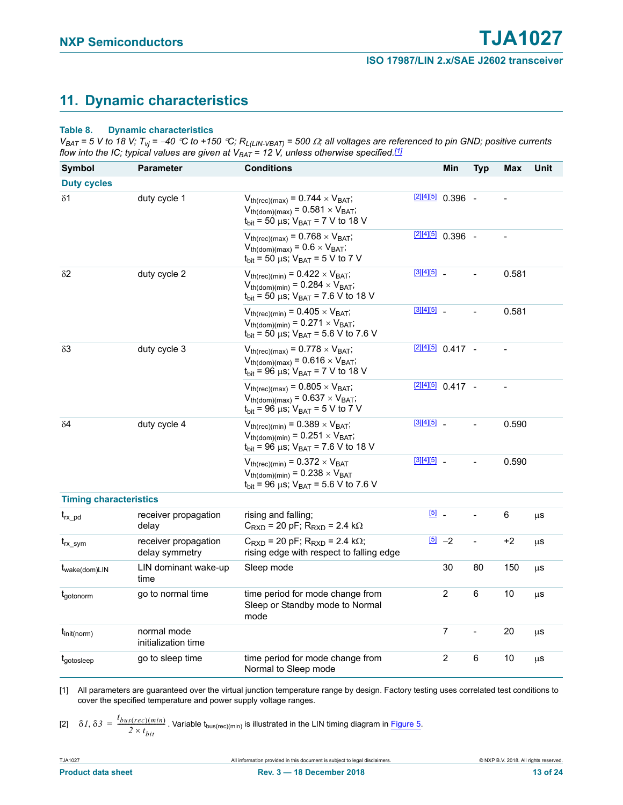## <span id="page-12-3"></span>**11. Dynamic characteristics**

#### <span id="page-12-0"></span>**Table 8. Dynamic characteristics**

 $V_{BAT}$  = 5 V to 18 V;  $T_{Vj}$  = -40 °C to +150 °C;  $R_{L(LIN-VBAT)}$  = 500  $\Omega$ ; all voltages are referenced to pin GND; positive currents *flow into the IC; typical values are given at*  $V_{BAT} = 12$  *V, unless otherwise specified.<sup>[\[1\]](#page-12-1)</sup>* 

| <b>Symbol</b>                 | <b>Parameter</b>                       | <b>Conditions</b>                                                                                                                                                |               | Min                 | <b>Typ</b>     | Max   | Unit |
|-------------------------------|----------------------------------------|------------------------------------------------------------------------------------------------------------------------------------------------------------------|---------------|---------------------|----------------|-------|------|
| <b>Duty cycles</b>            |                                        |                                                                                                                                                                  |               |                     |                |       |      |
| $\delta$ 1                    | duty cycle 1                           | $V_{th(rec)(max)} = 0.744 \times V_{BAT}$ ;<br>$V_{th(dom)(max)} = 0.581 \times V_{BAT}$ ;<br>$t_{\text{bit}}$ = 50 µs; $V_{\text{BAT}}$ = 7 V to 18 V           |               | $[2][4][5]$ 0.396 - |                |       |      |
|                               |                                        | $V_{th(rec)(max)} = 0.768 \times V_{BAT}$ ;<br>$V_{th(dom)(max)} = 0.6 \times V_{BAT}$ ;<br>$t_{\text{bit}}$ = 50 µs; $V_{\text{BAT}}$ = 5 V to 7 V              |               | $[2][4][5]$ 0.396 - |                |       |      |
| $\delta$ <sup>2</sup>         | duty cycle 2                           | $V_{th(rec)(min)} = 0.422 \times V_{BAT}$ ;<br>$V_{th(dom)(min)} = 0.284 \times V_{BAT}$ ;<br>$t_{\text{bit}}$ = 50 µs; $V_{\text{BAT}}$ = 7.6 V to 18 V         | [3][4][5]     |                     | $\overline{a}$ | 0.581 |      |
|                               |                                        | $V_{th(rec)(min)} = 0.405 \times V_{BAT}$ ;<br>$V_{th(dom)(min)} = 0.271 \times V_{BAT}$ ;<br>$t_{\text{bit}}$ = 50 µs; $V_{\text{BAT}}$ = 5.6 V to 7.6 V        | [3][4][5]     |                     |                | 0.581 |      |
| $\delta 3$                    | duty cycle 3                           | $V_{th(rec)(max)} = 0.778 \times V_{BAT}$ ;<br>$V_{th(dom)(max)} = 0.616 \times V_{BAT}$ ;<br>$t_{\text{bit}}$ = 96 µs; $V_{\text{BAT}}$ = 7 V to 18 V           |               | $[2][4][5]$ 0.417 - |                |       |      |
|                               |                                        | $V_{th(rec)(max)}$ = 0.805 $\times$ V <sub>BAT</sub> ;<br>$V_{th(dom)(max)} = 0.637 \times V_{BAT}$ ;<br>$t_{\text{bit}}$ = 96 µs; $V_{\text{BAT}}$ = 5 V to 7 V | $[2][4][5]$   | $0.417 -$           |                |       |      |
| $\delta$ 4                    | duty cycle 4                           | $V_{th(rec)(min)} = 0.389 \times V_{BAT}$ ;<br>$V_{th(dom)(min)} = 0.251 \times V_{BAT}$ ;<br>$t_{\text{bit}}$ = 96 µs; $V_{\text{BAT}}$ = 7.6 V to 18 V         | [3][4][5]     |                     |                | 0.590 |      |
|                               |                                        | $V_{th(rec)(min)} = 0.372 \times V_{BAT}$<br>$V_{th(dom)(min)} = 0.238 \times V_{BAT}$<br>$t_{\text{bit}}$ = 96 µs; $V_{\text{BAT}}$ = 5.6 V to 7.6 V            | $[3][4][5]$ _ |                     |                | 0.590 |      |
| <b>Timing characteristics</b> |                                        |                                                                                                                                                                  |               |                     |                |       |      |
| $t_{rx\_pd}$                  | receiver propagation<br>delay          | rising and falling;<br>$C_{\text{RXD}}$ = 20 pF; $R_{\text{RXD}}$ = 2.4 k $\Omega$                                                                               | $\boxed{5}$   |                     |                | 6     | μS   |
| $t_{rx\_sym}$                 | receiver propagation<br>delay symmetry | $C_{\text{RXD}}$ = 20 pF; $R_{\text{RXD}}$ = 2.4 k $\Omega$ ;<br>rising edge with respect to falling edge                                                        |               | $\boxed{5}$ -2      | $\overline{a}$ | $+2$  | μS   |
| t <sub>wake(dom)LIN</sub>     | LIN dominant wake-up<br>time           | Sleep mode                                                                                                                                                       |               | 30                  | 80             | 150   | μS   |
| t <sub>gotonorm</sub>         | go to normal time                      | time period for mode change from<br>Sleep or Standby mode to Normal<br>mode                                                                                      |               | $\overline{2}$      | 6              | 10    | μS   |
| $\mathbf{I}_{init(norm)}$     | normal mode<br>initialization time     |                                                                                                                                                                  |               | $\overline{7}$      | $\overline{a}$ | 20    | μS   |
| tgotosleep                    | go to sleep time                       | time period for mode change from<br>Normal to Sleep mode                                                                                                         |               | 2                   | 6              | 10    | μS   |

<span id="page-12-2"></span><span id="page-12-1"></span>[1] All parameters are guaranteed over the virtual junction temperature range by design. Factory testing uses correlated test conditions to cover the specified temperature and power supply voltage ranges.

[2] 
$$
\delta I, \delta J = \frac{t_{bus(rec)(min)}}{2 \times t_{bit}}
$$
. Variable  $t_{bus(rec)(min)}$  is illustrated in the LIN timing diagram in Figure 5.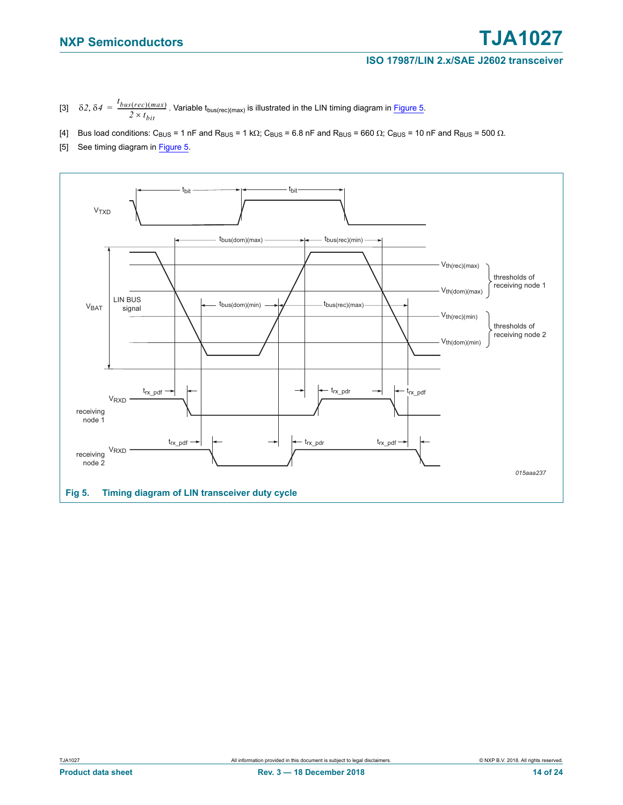- <span id="page-13-2"></span>[3]  $\delta 2, \delta 4 = \frac{t_{bus(rec)(max)}}{2 \times t_{bit}}$ . Variable  $t_{bus(rec)(max)}$  is illustrated in the LIN timing diagram in [Figure 5.](#page-13-3)
- <span id="page-13-0"></span>[4] Bus load conditions: C<sub>BUS</sub> = 1 nF and R<sub>BUS</sub> = 1 k $\Omega$ ; C<sub>BUS</sub> = 6.8 nF and R<sub>BUS</sub> = 660  $\Omega$ ; C<sub>BUS</sub> = 10 nF and R<sub>BUS</sub> = 500  $\Omega$ .
- <span id="page-13-1"></span>[5] See timing diagram in [Figure 5](#page-13-3).

<span id="page-13-3"></span>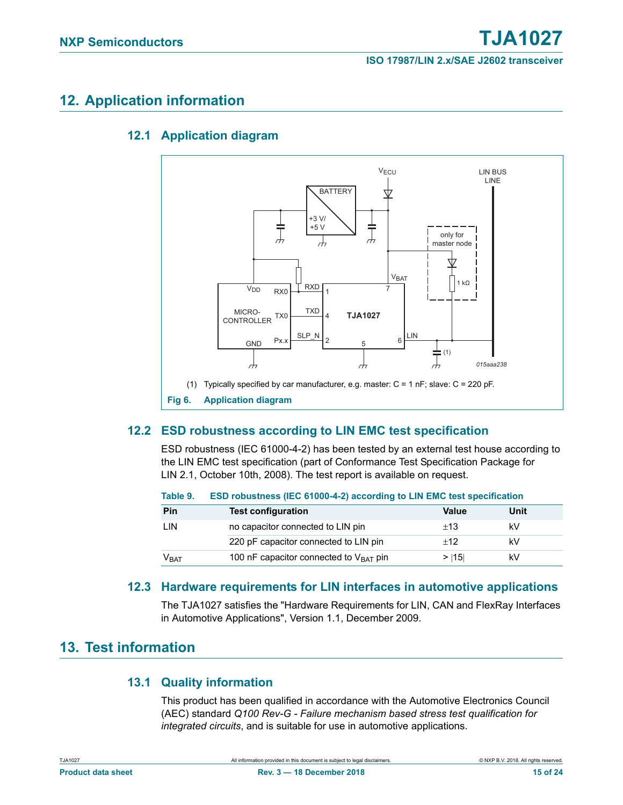## <span id="page-14-3"></span><span id="page-14-2"></span>**12. Application information**

### **12.1 Application diagram**



### <span id="page-14-4"></span><span id="page-14-1"></span><span id="page-14-0"></span>**12.2 ESD robustness according to LIN EMC test specification**

ESD robustness (IEC 61000-4-2) has been tested by an external test house according to the LIN EMC test specification (part of Conformance Test Specification Package for LIN 2.1, October 10th, 2008). The test report is available on request.

| Table 9. |  |  |  | ESD robustness (IEC 61000-4-2) according to LIN EMC test specification |
|----------|--|--|--|------------------------------------------------------------------------|
|----------|--|--|--|------------------------------------------------------------------------|

| Pin              | <b>Test configuration</b>                          | Value | Unit |
|------------------|----------------------------------------------------|-------|------|
| Lin              | no capacitor connected to LIN pin                  | ±13   | kV   |
|                  | 220 pF capacitor connected to LIN pin              | $+12$ | kV   |
| V <sub>BAT</sub> | 100 nF capacitor connected to $V_{\text{BAT}}$ pin | > 115 | kV   |

### **12.3 Hardware requirements for LIN interfaces in automotive applications**

The TJA1027 satisfies the "Hardware Requirements for LIN, CAN and FlexRay Interfaces in Automotive Applications", Version 1.1, December 2009.

## <span id="page-14-7"></span><span id="page-14-6"></span><span id="page-14-5"></span>**13. Test information**

### **13.1 Quality information**

This product has been qualified in accordance with the Automotive Electronics Council (AEC) standard *Q100 Rev-G - Failure mechanism based stress test qualification for integrated circuits*, and is suitable for use in automotive applications.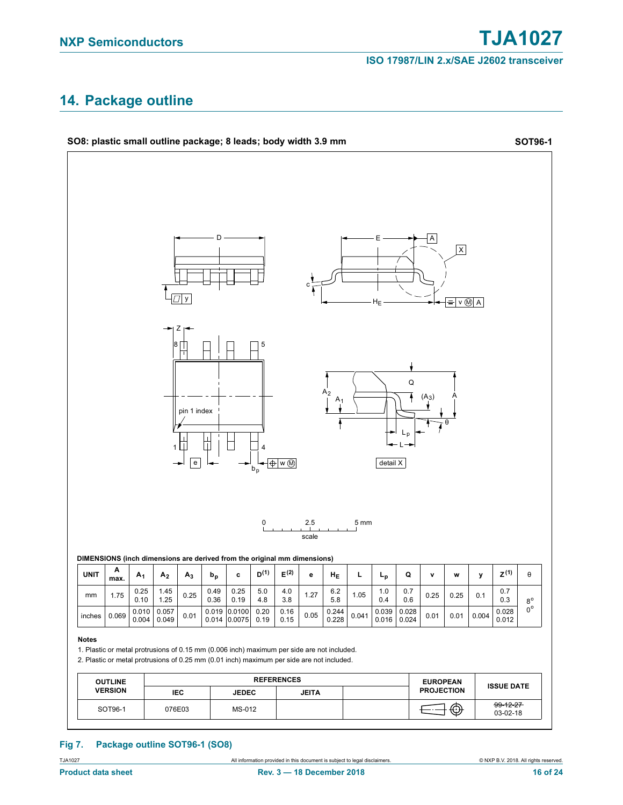## <span id="page-15-0"></span>**14. Package outline**



#### **Fig 7. Package outline SOT96-1 (SO8)**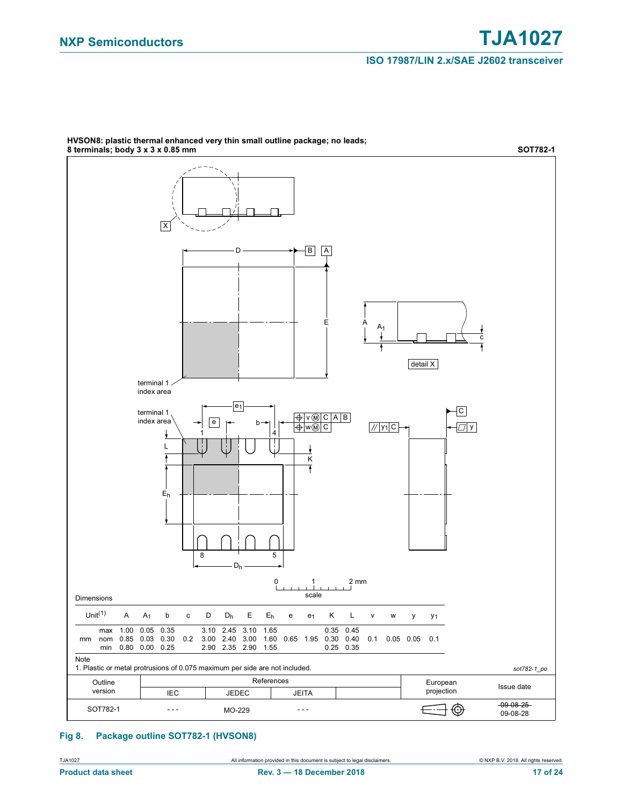

HVSON8: plastic thermal enhanced very thin small outline package; no leads;

### **Fig 8. Package outline SOT782-1 (HVSON8)**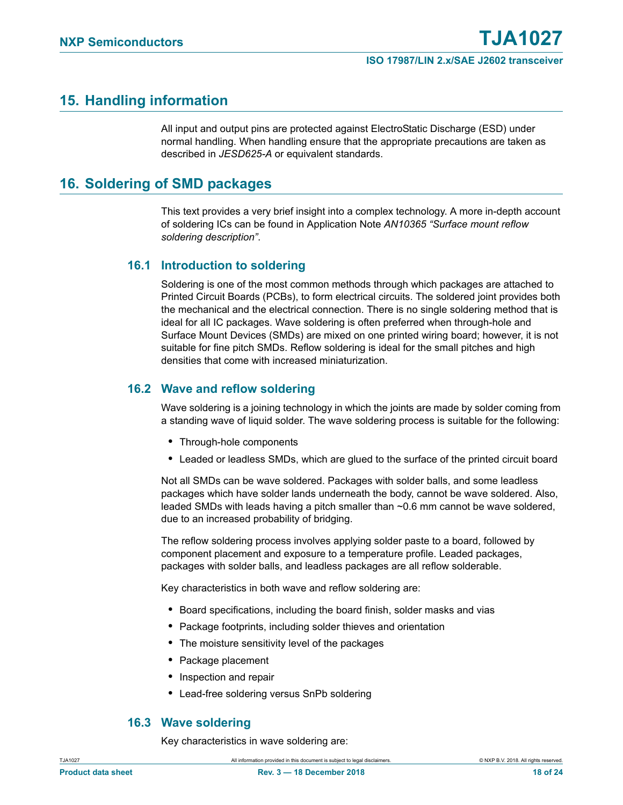## <span id="page-17-1"></span>**15. Handling information**

All input and output pins are protected against ElectroStatic Discharge (ESD) under normal handling. When handling ensure that the appropriate precautions are taken as described in *JESD625-A* or equivalent standards.

## <span id="page-17-0"></span>**16. Soldering of SMD packages**

This text provides a very brief insight into a complex technology. A more in-depth account of soldering ICs can be found in Application Note *AN10365 "Surface mount reflow soldering description"*.

### <span id="page-17-2"></span>**16.1 Introduction to soldering**

Soldering is one of the most common methods through which packages are attached to Printed Circuit Boards (PCBs), to form electrical circuits. The soldered joint provides both the mechanical and the electrical connection. There is no single soldering method that is ideal for all IC packages. Wave soldering is often preferred when through-hole and Surface Mount Devices (SMDs) are mixed on one printed wiring board; however, it is not suitable for fine pitch SMDs. Reflow soldering is ideal for the small pitches and high densities that come with increased miniaturization.

### <span id="page-17-3"></span>**16.2 Wave and reflow soldering**

Wave soldering is a joining technology in which the joints are made by solder coming from a standing wave of liquid solder. The wave soldering process is suitable for the following:

- **•** Through-hole components
- **•** Leaded or leadless SMDs, which are glued to the surface of the printed circuit board

Not all SMDs can be wave soldered. Packages with solder balls, and some leadless packages which have solder lands underneath the body, cannot be wave soldered. Also, leaded SMDs with leads having a pitch smaller than ~0.6 mm cannot be wave soldered, due to an increased probability of bridging.

The reflow soldering process involves applying solder paste to a board, followed by component placement and exposure to a temperature profile. Leaded packages, packages with solder balls, and leadless packages are all reflow solderable.

Key characteristics in both wave and reflow soldering are:

- **•** Board specifications, including the board finish, solder masks and vias
- **•** Package footprints, including solder thieves and orientation
- **•** The moisture sensitivity level of the packages
- **•** Package placement
- **•** Inspection and repair
- **•** Lead-free soldering versus SnPb soldering

### **16.3 Wave soldering**

Key characteristics in wave soldering are:

<span id="page-17-4"></span>TJA1027 All information provided in this document is subject to legal disclaimers. © NXP B.V. 2018. All rights reserved.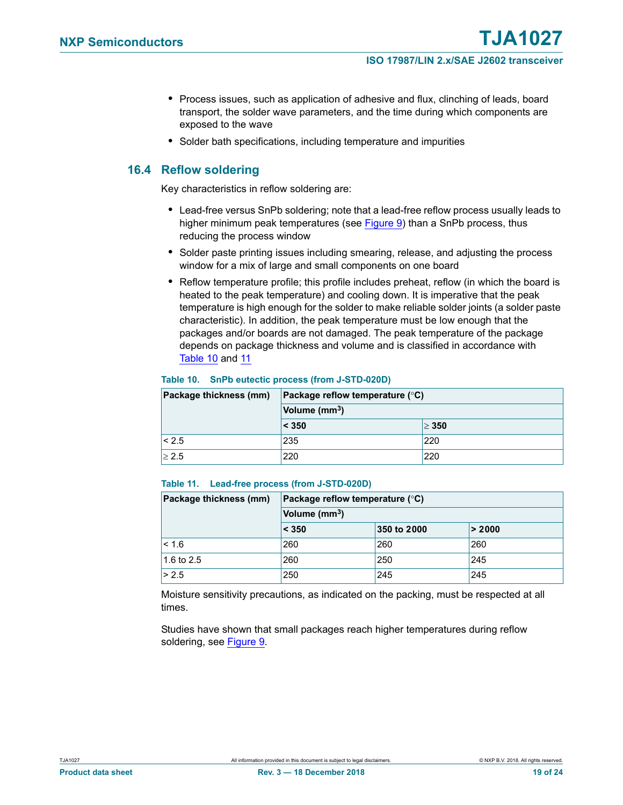- **•** Process issues, such as application of adhesive and flux, clinching of leads, board transport, the solder wave parameters, and the time during which components are exposed to the wave
- **•** Solder bath specifications, including temperature and impurities

### <span id="page-18-2"></span>**16.4 Reflow soldering**

Key characteristics in reflow soldering are:

- **•** Lead-free versus SnPb soldering; note that a lead-free reflow process usually leads to higher minimum peak temperatures (see [Figure 9](#page-19-0)) than a SnPb process, thus reducing the process window
- **•** Solder paste printing issues including smearing, release, and adjusting the process window for a mix of large and small components on one board
- **•** Reflow temperature profile; this profile includes preheat, reflow (in which the board is heated to the peak temperature) and cooling down. It is imperative that the peak temperature is high enough for the solder to make reliable solder joints (a solder paste characteristic). In addition, the peak temperature must be low enough that the packages and/or boards are not damaged. The peak temperature of the package depends on package thickness and volume and is classified in accordance with [Table 10](#page-18-0) and [11](#page-18-1)

#### <span id="page-18-0"></span>**Table 10. SnPb eutectic process (from J-STD-020D)**

| Package thickness (mm) | Package reflow temperature $(^{\circ}C)$ |            |  |
|------------------------|------------------------------------------|------------|--|
|                        | Volume (mm <sup>3</sup> )                |            |  |
|                        | $ <$ 350                                 | $\geq 350$ |  |
| < 2.5                  | 235                                      | '220'      |  |
| > 2.5                  | 220                                      | 220        |  |

#### <span id="page-18-1"></span>**Table 11. Lead-free process (from J-STD-020D)**

| Package thickness (mm) | Package reflow temperature $(^\circ \mathsf{C})$<br>Volume (mm <sup>3</sup> ) |             |        |  |
|------------------------|-------------------------------------------------------------------------------|-------------|--------|--|
|                        |                                                                               |             |        |  |
|                        | < 350                                                                         | 350 to 2000 | > 2000 |  |
| < 1.6                  | 260                                                                           | 260         | 260    |  |
| 1.6 to $2.5$           | 260                                                                           | 250         | 245    |  |
| > 2.5                  | 250                                                                           | 245         | 245    |  |

Moisture sensitivity precautions, as indicated on the packing, must be respected at all times.

Studies have shown that small packages reach higher temperatures during reflow soldering, see [Figure 9](#page-19-0).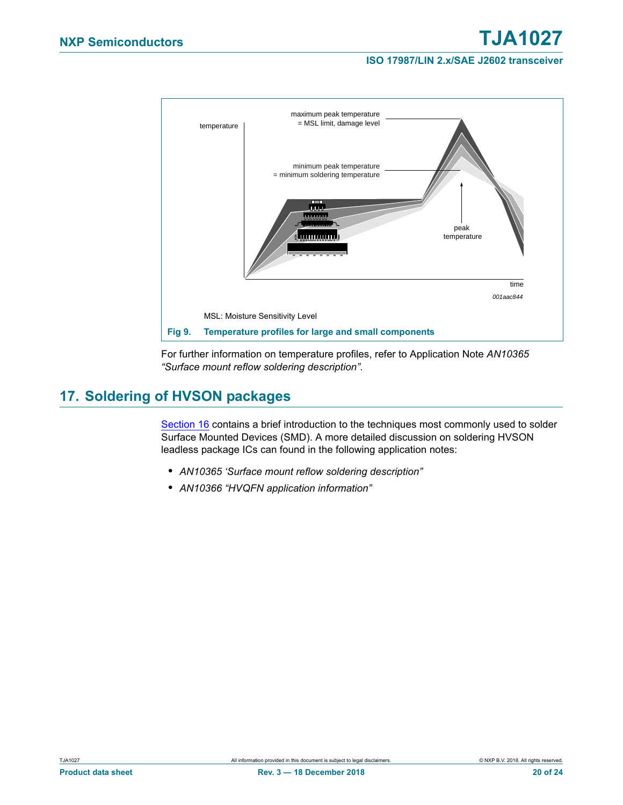

<span id="page-19-0"></span>For further information on temperature profiles, refer to Application Note *AN10365 "Surface mount reflow soldering description"*.

## <span id="page-19-1"></span>**17. Soldering of HVSON packages**

[Section 16](#page-17-0) contains a brief introduction to the techniques most commonly used to solder Surface Mounted Devices (SMD). A more detailed discussion on soldering HVSON leadless package ICs can found in the following application notes:

- **•** *AN10365 'Surface mount reflow soldering description"*
- **•** *AN10366 "HVQFN application information"*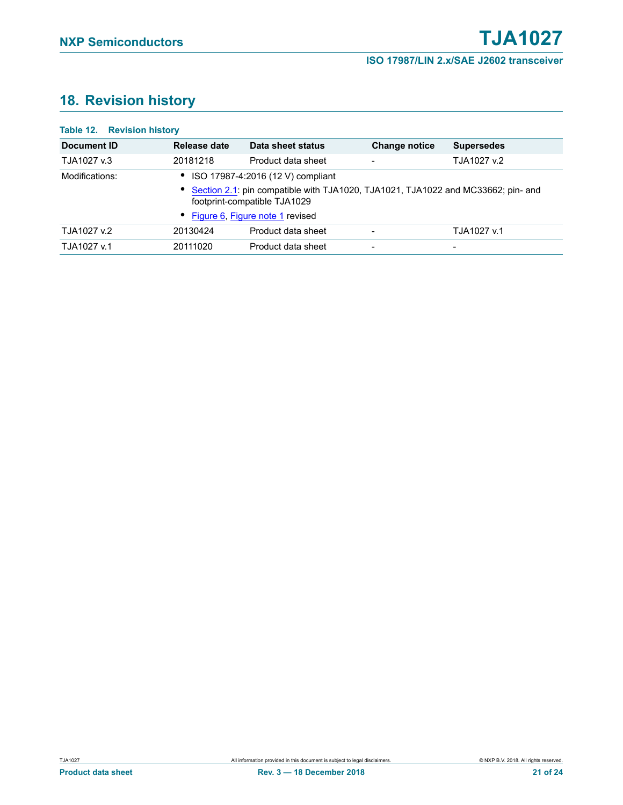## <span id="page-20-0"></span>**18. Revision history**

### **Table 12. Revision history**

| Document ID    | Release date                                                                                                       | Data sheet status  | <b>Change notice</b>     | <b>Supersedes</b>        |  |
|----------------|--------------------------------------------------------------------------------------------------------------------|--------------------|--------------------------|--------------------------|--|
| TJA1027 v.3    | 20181218                                                                                                           | Product data sheet | $\overline{\phantom{a}}$ | TJA1027 v.2              |  |
| Modifications: | • ISO 17987-4:2016 (12 V) compliant                                                                                |                    |                          |                          |  |
|                | • Section 2.1: pin compatible with TJA1020, TJA1021, TJA1022 and MC33662; pin- and<br>footprint-compatible TJA1029 |                    |                          |                          |  |
|                | • Figure 6, Figure note 1 revised                                                                                  |                    |                          |                          |  |
| TJA1027 v.2    | 20130424                                                                                                           | Product data sheet | -                        | TJA1027 v.1              |  |
| TJA1027 v.1    | 20111020                                                                                                           | Product data sheet | -                        | $\overline{\phantom{a}}$ |  |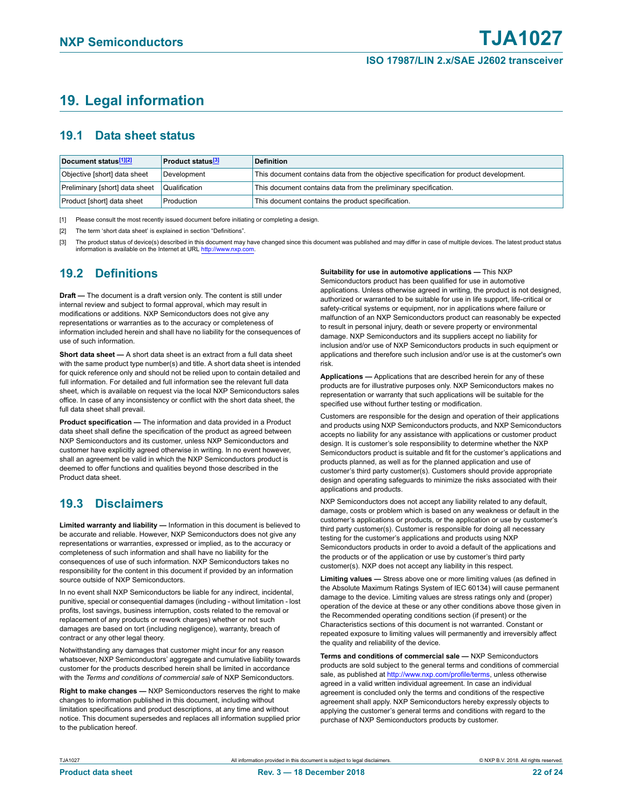## <span id="page-21-3"></span>**19. Legal information**

### <span id="page-21-4"></span>**19.1 Data sheet status**

| Document status[1][2]          | <b>Product status</b> <sup>[3]</sup> | <b>Definition</b>                                                                     |
|--------------------------------|--------------------------------------|---------------------------------------------------------------------------------------|
| Objective [short] data sheet   | Development                          | This document contains data from the objective specification for product development. |
| Preliminary [short] data sheet | Qualification                        | This document contains data from the preliminary specification.                       |
| Product [short] data sheet     | Production                           | This document contains the product specification.                                     |

<span id="page-21-0"></span>[1] Please consult the most recently issued document before initiating or completing a design.

- <span id="page-21-1"></span>[2] The term 'short data sheet' is explained in section "Definitions".
- <span id="page-21-2"></span>[3] The product status of device(s) described in this document may have changed since this document was published and may differ in case of multiple devices. The latest product status information is available on the Internet at URL [http://www.nxp.com.](http://www.nxp.com)

### <span id="page-21-5"></span>**19.2 Definitions**

**Draft —** The document is a draft version only. The content is still under internal review and subject to formal approval, which may result in modifications or additions. NXP Semiconductors does not give any representations or warranties as to the accuracy or completeness of information included herein and shall have no liability for the consequences of use of such information.

**Short data sheet —** A short data sheet is an extract from a full data sheet with the same product type number(s) and title. A short data sheet is intended for quick reference only and should not be relied upon to contain detailed and full information. For detailed and full information see the relevant full data sheet, which is available on request via the local NXP Semiconductors sales office. In case of any inconsistency or conflict with the short data sheet, the full data sheet shall prevail.

**Product specification —** The information and data provided in a Product data sheet shall define the specification of the product as agreed between NXP Semiconductors and its customer, unless NXP Semiconductors and customer have explicitly agreed otherwise in writing. In no event however, shall an agreement be valid in which the NXP Semiconductors product is deemed to offer functions and qualities beyond those described in the Product data sheet.

### <span id="page-21-6"></span>**19.3 Disclaimers**

**Limited warranty and liability —** Information in this document is believed to be accurate and reliable. However, NXP Semiconductors does not give any representations or warranties, expressed or implied, as to the accuracy or completeness of such information and shall have no liability for the consequences of use of such information. NXP Semiconductors takes no responsibility for the content in this document if provided by an information source outside of NXP Semiconductors.

In no event shall NXP Semiconductors be liable for any indirect, incidental, punitive, special or consequential damages (including - without limitation - lost profits, lost savings, business interruption, costs related to the removal or replacement of any products or rework charges) whether or not such damages are based on tort (including negligence), warranty, breach of contract or any other legal theory.

Notwithstanding any damages that customer might incur for any reason whatsoever, NXP Semiconductors' aggregate and cumulative liability towards customer for the products described herein shall be limited in accordance with the *Terms and conditions of commercial sale* of NXP Semiconductors.

**Right to make changes —** NXP Semiconductors reserves the right to make changes to information published in this document, including without limitation specifications and product descriptions, at any time and without notice. This document supersedes and replaces all information supplied prior to the publication hereof.

**Suitability for use in automotive applications —** This NXP Semiconductors product has been qualified for use in automotive applications. Unless otherwise agreed in writing, the product is not designed, authorized or warranted to be suitable for use in life support, life-critical or safety-critical systems or equipment, nor in applications where failure or malfunction of an NXP Semiconductors product can reasonably be expected to result in personal injury, death or severe property or environmental damage. NXP Semiconductors and its suppliers accept no liability for inclusion and/or use of NXP Semiconductors products in such equipment or applications and therefore such inclusion and/or use is at the customer's own risk.

**Applications —** Applications that are described herein for any of these products are for illustrative purposes only. NXP Semiconductors makes no representation or warranty that such applications will be suitable for the specified use without further testing or modification.

Customers are responsible for the design and operation of their applications and products using NXP Semiconductors products, and NXP Semiconductors accepts no liability for any assistance with applications or customer product design. It is customer's sole responsibility to determine whether the NXP Semiconductors product is suitable and fit for the customer's applications and products planned, as well as for the planned application and use of customer's third party customer(s). Customers should provide appropriate design and operating safeguards to minimize the risks associated with their applications and products.

NXP Semiconductors does not accept any liability related to any default, damage, costs or problem which is based on any weakness or default in the customer's applications or products, or the application or use by customer's third party customer(s). Customer is responsible for doing all necessary testing for the customer's applications and products using NXP Semiconductors products in order to avoid a default of the applications and the products or of the application or use by customer's third party customer(s). NXP does not accept any liability in this respect.

**Limiting values —** Stress above one or more limiting values (as defined in the Absolute Maximum Ratings System of IEC 60134) will cause permanent damage to the device. Limiting values are stress ratings only and (proper) operation of the device at these or any other conditions above those given in the Recommended operating conditions section (if present) or the Characteristics sections of this document is not warranted. Constant or repeated exposure to limiting values will permanently and irreversibly affect the quality and reliability of the device.

**Terms and conditions of commercial sale —** NXP Semiconductors products are sold subject to the general terms and conditions of commercial sale, as published at [http://www.nxp.com/profile/terms,](http://www.nxp.com/profile/terms) unless otherwise agreed in a valid written individual agreement. In case an individual agreement is concluded only the terms and conditions of the respective agreement shall apply. NXP Semiconductors hereby expressly objects to applying the customer's general terms and conditions with regard to the purchase of NXP Semiconductors products by customer.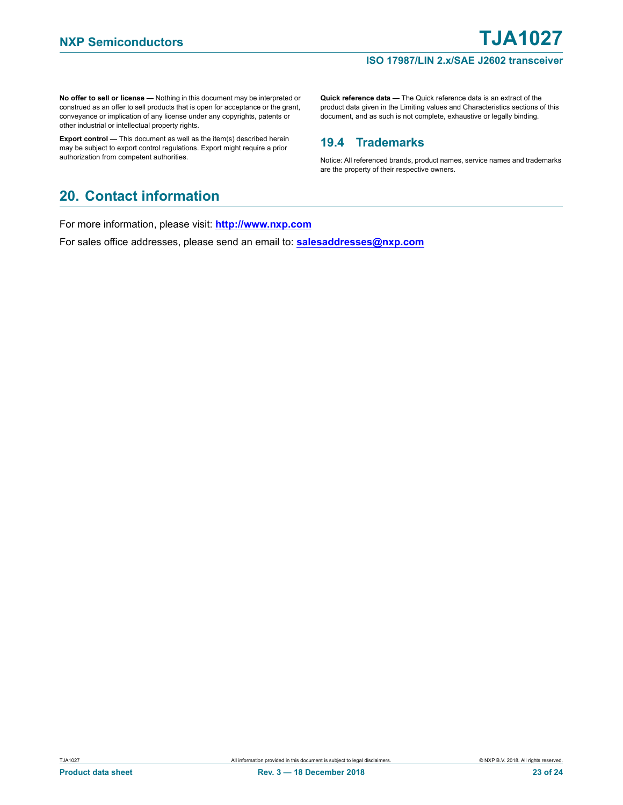**No offer to sell or license —** Nothing in this document may be interpreted or construed as an offer to sell products that is open for acceptance or the grant, conveyance or implication of any license under any copyrights, patents or other industrial or intellectual property rights.

**Export control —** This document as well as the item(s) described herein may be subject to export control regulations. Export might require a prior authorization from competent authorities.

**Quick reference data —** The Quick reference data is an extract of the product data given in the Limiting values and Characteristics sections of this document, and as such is not complete, exhaustive or legally binding.

### <span id="page-22-0"></span>**19.4 Trademarks**

Notice: All referenced brands, product names, service names and trademarks are the property of their respective owners.

## <span id="page-22-1"></span>**20. Contact information**

For more information, please visit: **http://www.nxp.com**

For sales office addresses, please send an email to: **salesaddresses@nxp.com**